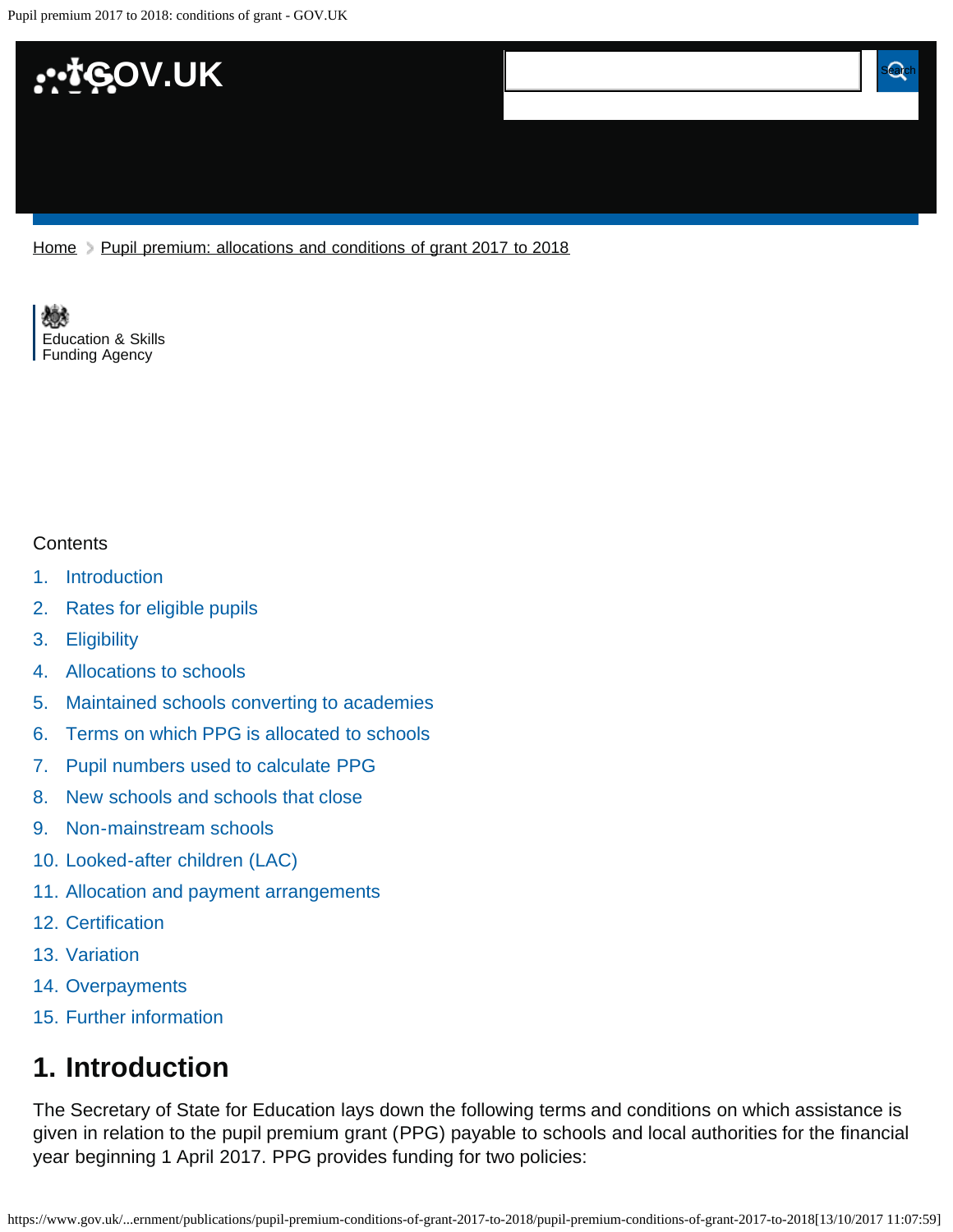

[Home](https://www.gov.uk/) > [Pupil premium: allocations and conditions of grant 2017 to 2018](https://www.gov.uk/government/publications/pupil-premium-conditions-of-grant-2017-to-2018)

[Education & Skills](https://www.gov.uk/government/organisations/education-and-skills-funding-agency)  [Funding Agency](https://www.gov.uk/government/organisations/education-and-skills-funding-agency)

#### **Contents**

- [1.](#page-0-0) [Introduction](#page-0-0)
- [2.](#page-1-0) [Rates for eligible pupils](#page-1-0)
- [3.](#page-1-1) [Eligibility](#page-1-1)
- [4.](#page-2-0) [Allocations to schools](#page-2-0)
- [5.](#page-2-1) [Maintained schools converting to academies](#page-2-1)
- [6.](#page-3-0) [Terms on which PPG is allocated to schools](#page-3-0)
- [7.](#page-3-1) [Pupil numbers used to calculate PPG](#page-3-1)
- [8.](#page-4-0) [New schools and schools that close](#page-4-0)
- [9.](#page-4-1) [Non-mainstream schools](#page-4-1)
- [10.](#page-4-2) [Looked-after children \(LAC\)](#page-4-2)
- [11.](#page-5-0) [Allocation and payment arrangements](#page-5-0)
- [12.](#page-5-1) [Certification](#page-5-1)
- [13.](#page-5-2) [Variation](#page-5-2)
- [14.](#page-5-3) [Overpayments](#page-5-3)
- [15.](#page-5-4) [Further information](#page-5-4)

# <span id="page-0-0"></span>**1. Introduction**

The Secretary of State for Education lays down the following terms and conditions on which assistance is given in relation to the pupil premium grant (PPG) payable to schools and local authorities for the financial year beginning 1 April 2017. PPG provides funding for two policies: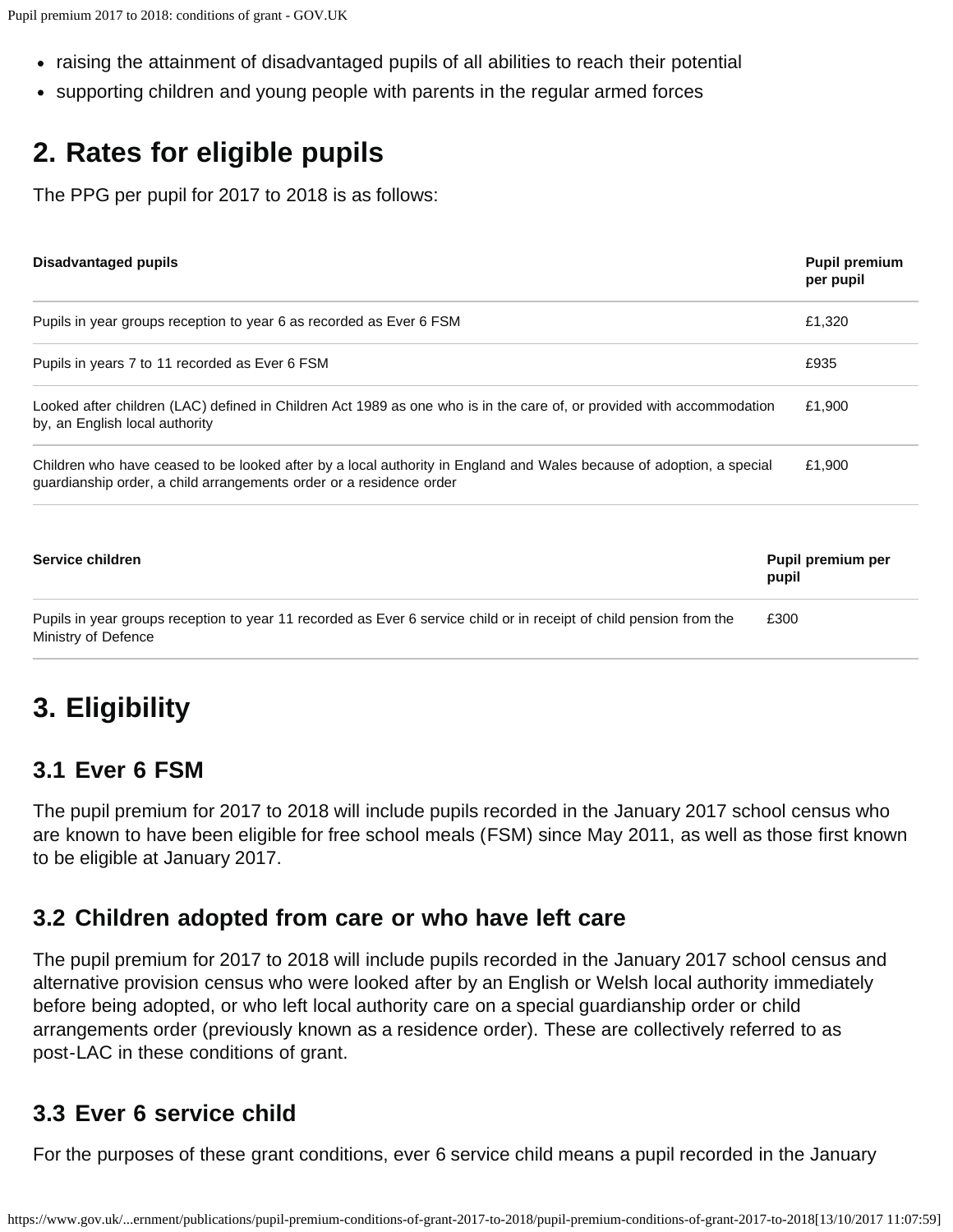- raising the attainment of disadvantaged pupils of all abilities to reach their potential
- supporting children and young people with parents in the regular armed forces

# <span id="page-1-0"></span>**2. Rates for eligible pupils**

The PPG per pupil for 2017 to 2018 is as follows:

| <b>Disadvantaged pupils</b>                                                                                                                                                                 | <b>Pupil premium</b><br>per pupil |
|---------------------------------------------------------------------------------------------------------------------------------------------------------------------------------------------|-----------------------------------|
| Pupils in year groups reception to year 6 as recorded as Ever 6 FSM                                                                                                                         | £1,320                            |
| Pupils in years 7 to 11 recorded as Ever 6 FSM                                                                                                                                              | £935                              |
| Looked after children (LAC) defined in Children Act 1989 as one who is in the care of, or provided with accommodation<br>by, an English local authority                                     | £1,900                            |
| Children who have ceased to be looked after by a local authority in England and Wales because of adoption, a special<br>guardianship order, a child arrangements order or a residence order | £1,900                            |
| Service children                                                                                                                                                                            | Pupil premium per<br>pupil        |
| Pupils in year groups reception to year 11 recorded as Ever 6 service child or in receipt of child pension from the<br>Ministry of Defence                                                  | £300                              |

# <span id="page-1-1"></span>**3. Eligibility**

#### **3.1 Ever 6 FSM**

The pupil premium for 2017 to 2018 will include pupils recorded in the January 2017 school census who are known to have been eligible for free school meals (FSM) since May 2011, as well as those first known to be eligible at January 2017.

#### **3.2 Children adopted from care or who have left care**

The pupil premium for 2017 to 2018 will include pupils recorded in the January 2017 school census and alternative provision census who were looked after by an English or Welsh local authority immediately before being adopted, or who left local authority care on a special guardianship order or child arrangements order (previously known as a residence order). These are collectively referred to as post-LAC in these conditions of grant.

#### **3.3 Ever 6 service child**

For the purposes of these grant conditions, ever 6 service child means a pupil recorded in the January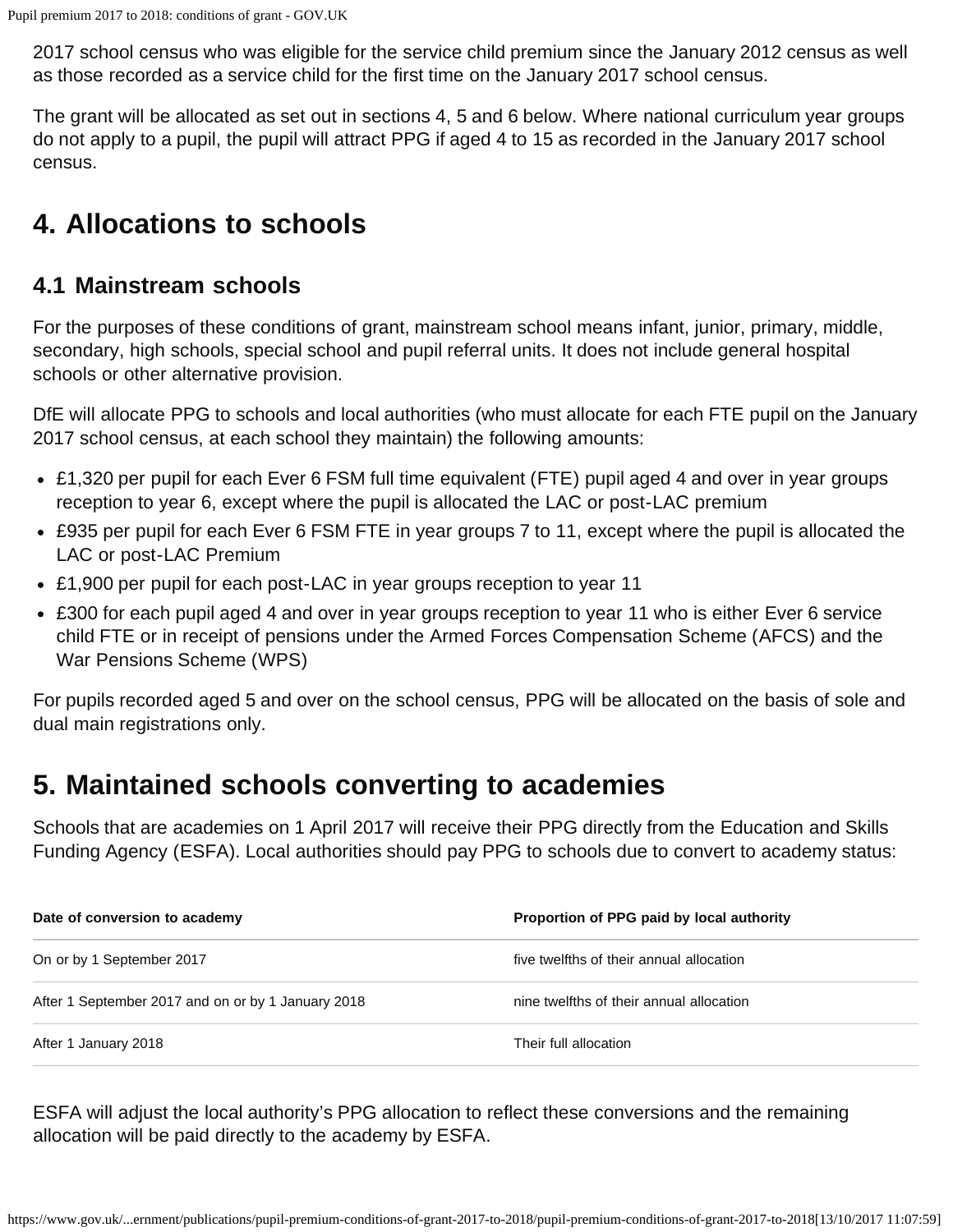2017 school census who was eligible for the service child premium since the January 2012 census as well as those recorded as a service child for the first time on the January 2017 school census.

The grant will be allocated as set out in sections 4, 5 and 6 below. Where national curriculum year groups do not apply to a pupil, the pupil will attract PPG if aged 4 to 15 as recorded in the January 2017 school census.

# <span id="page-2-0"></span>**4. Allocations to schools**

#### **4.1 Mainstream schools**

For the purposes of these conditions of grant, mainstream school means infant, junior, primary, middle, secondary, high schools, special school and pupil referral units. It does not include general hospital schools or other alternative provision.

DfE will allocate PPG to schools and local authorities (who must allocate for each FTE pupil on the January 2017 school census, at each school they maintain) the following amounts:

- £1,320 per pupil for each Ever 6 FSM full time equivalent (FTE) pupil aged 4 and over in year groups reception to year 6, except where the pupil is allocated the LAC or post-LAC premium
- £935 per pupil for each Ever 6 FSM FTE in year groups 7 to 11, except where the pupil is allocated the LAC or post-LAC Premium
- £1,900 per pupil for each post-LAC in year groups reception to year 11
- £300 for each pupil aged 4 and over in year groups reception to year 11 who is either Ever 6 service child FTE or in receipt of pensions under the Armed Forces Compensation Scheme (AFCS) and the War Pensions Scheme (WPS)

For pupils recorded aged 5 and over on the school census, PPG will be allocated on the basis of sole and dual main registrations only.

### <span id="page-2-1"></span>**5. Maintained schools converting to academies**

Schools that are academies on 1 April 2017 will receive their PPG directly from the Education and Skills Funding Agency (ESFA). Local authorities should pay PPG to schools due to convert to academy status:

| Date of conversion to academy                      | Proportion of PPG paid by local authority |
|----------------------------------------------------|-------------------------------------------|
| On or by 1 September 2017                          | five twelfths of their annual allocation  |
| After 1 September 2017 and on or by 1 January 2018 | nine twelfths of their annual allocation  |
| After 1 January 2018                               | Their full allocation                     |

ESFA will adjust the local authority's PPG allocation to reflect these conversions and the remaining allocation will be paid directly to the academy by ESFA.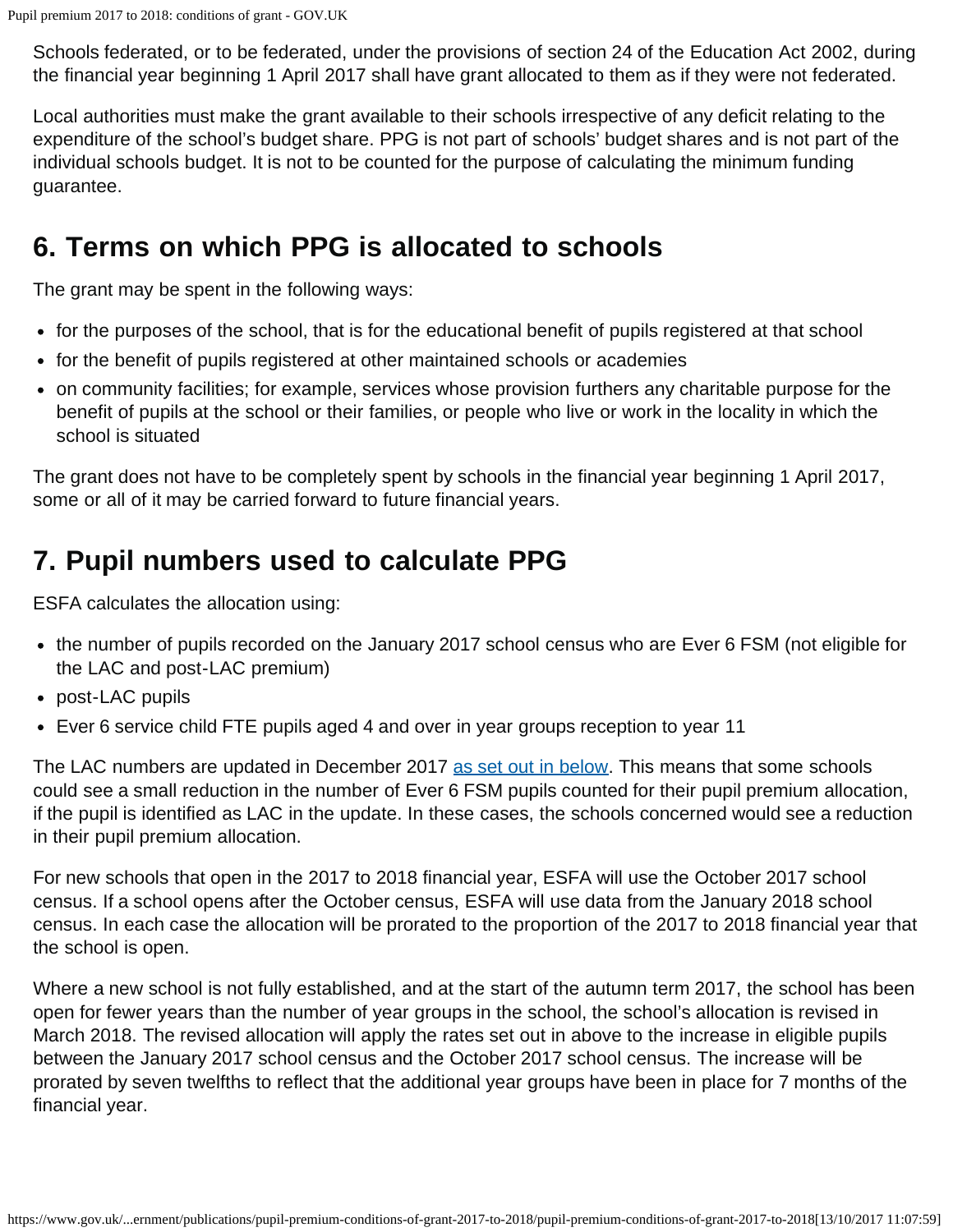Schools federated, or to be federated, under the provisions of section 24 of the Education Act 2002, during the financial year beginning 1 April 2017 shall have grant allocated to them as if they were not federated.

Local authorities must make the grant available to their schools irrespective of any deficit relating to the expenditure of the school's budget share. PPG is not part of schools' budget shares and is not part of the individual schools budget. It is not to be counted for the purpose of calculating the minimum funding guarantee.

### <span id="page-3-0"></span>**6. Terms on which PPG is allocated to schools**

The grant may be spent in the following ways:

- for the purposes of the school, that is for the educational benefit of pupils registered at that school
- for the benefit of pupils registered at other maintained schools or academies
- on community facilities; for example, services whose provision furthers any charitable purpose for the benefit of pupils at the school or their families, or people who live or work in the locality in which the school is situated

The grant does not have to be completely spent by schools in the financial year beginning 1 April 2017, some or all of it may be carried forward to future financial years.

# <span id="page-3-1"></span>**7. Pupil numbers used to calculate PPG**

ESFA calculates the allocation using:

- the number of pupils recorded on the January 2017 school census who are Ever 6 FSM (not eligible for the LAC and post-LAC premium)
- post-LAC pupils
- Ever 6 service child FTE pupils aged 4 and over in year groups reception to year 11

The LAC numbers are updated in December 2017 [as set out in below](#page-4-3). This means that some schools could see a small reduction in the number of Ever 6 FSM pupils counted for their pupil premium allocation, if the pupil is identified as LAC in the update. In these cases, the schools concerned would see a reduction in their pupil premium allocation.

For new schools that open in the 2017 to 2018 financial year, ESFA will use the October 2017 school census. If a school opens after the October census, ESFA will use data from the January 2018 school census. In each case the allocation will be prorated to the proportion of the 2017 to 2018 financial year that the school is open.

<span id="page-3-2"></span>Where a new school is not fully established, and at the start of the autumn term 2017, the school has been open for fewer years than the number of year groups in the school, the school's allocation is revised in March 2018. The revised allocation will apply the rates set out in above to the increase in eligible pupils between the January 2017 school census and the October 2017 school census. The increase will be prorated by seven twelfths to reflect that the additional year groups have been in place for 7 months of the financial year.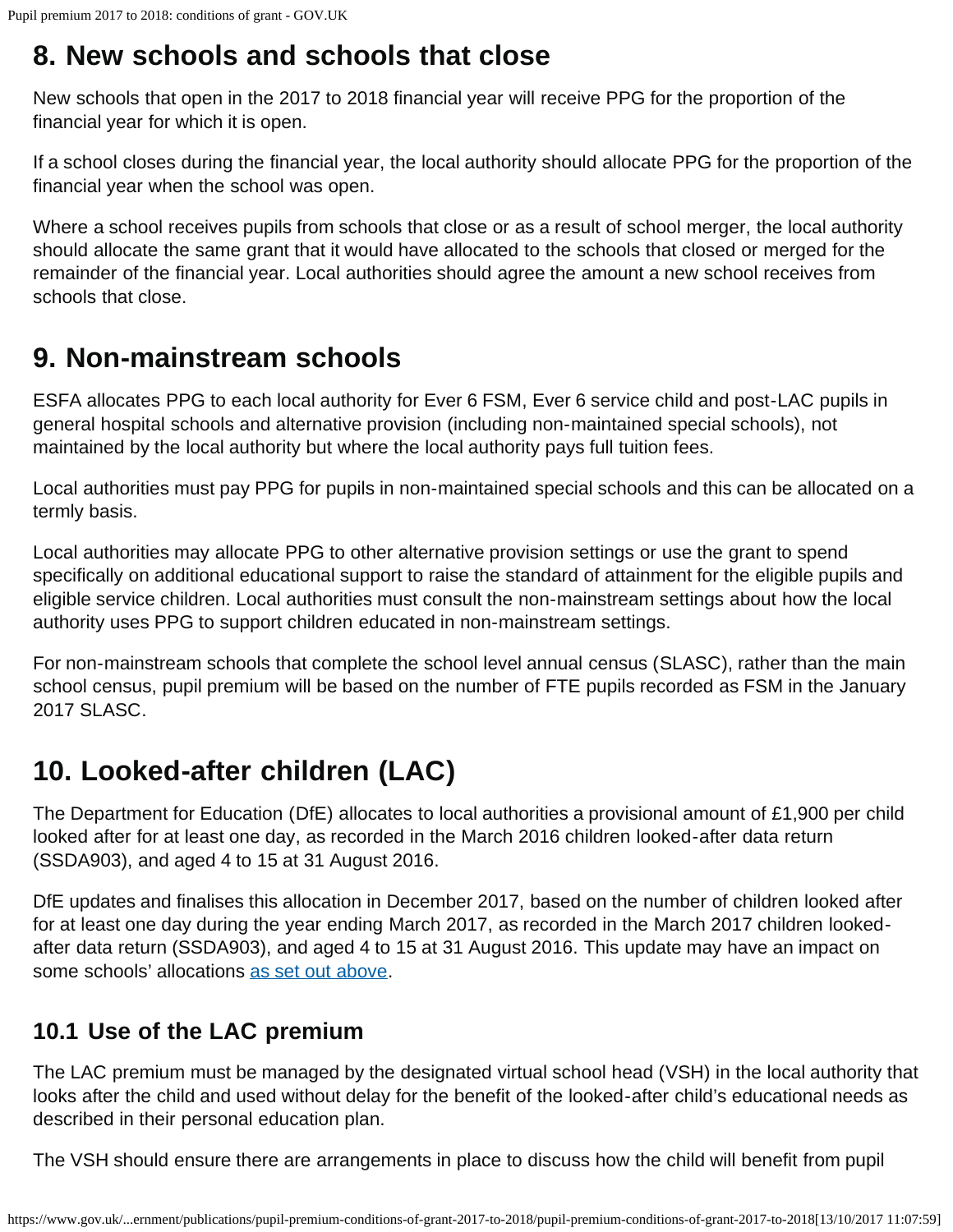### <span id="page-4-0"></span>**8. New schools and schools that close**

New schools that open in the 2017 to 2018 financial year will receive PPG for the proportion of the financial year for which it is open.

If a school closes during the financial year, the local authority should allocate PPG for the proportion of the financial year when the school was open.

Where a school receives pupils from schools that close or as a result of school merger, the local authority should allocate the same grant that it would have allocated to the schools that closed or merged for the remainder of the financial year. Local authorities should agree the amount a new school receives from schools that close.

# <span id="page-4-1"></span>**9. Non-mainstream schools**

ESFA allocates PPG to each local authority for Ever 6 FSM, Ever 6 service child and post-LAC pupils in general hospital schools and alternative provision (including non-maintained special schools), not maintained by the local authority but where the local authority pays full tuition fees.

Local authorities must pay PPG for pupils in non-maintained special schools and this can be allocated on a termly basis.

Local authorities may allocate PPG to other alternative provision settings or use the grant to spend specifically on additional educational support to raise the standard of attainment for the eligible pupils and eligible service children. Local authorities must consult the non-mainstream settings about how the local authority uses PPG to support children educated in non-mainstream settings.

For non-mainstream schools that complete the school level annual census (SLASC), rather than the main school census, pupil premium will be based on the number of FTE pupils recorded as FSM in the January 2017 SLASC.

# <span id="page-4-2"></span>**10. Looked-after children (LAC)**

The Department for Education (DfE) allocates to local authorities a provisional amount of £1,900 per child looked after for at least one day, as recorded in the March 2016 children looked-after data return (SSDA903), and aged 4 to 15 at 31 August 2016.

<span id="page-4-3"></span>DfE updates and finalises this allocation in December 2017, based on the number of children looked after for at least one day during the year ending March 2017, as recorded in the March 2017 children lookedafter data return (SSDA903), and aged 4 to 15 at 31 August 2016. This update may have an impact on some schools' allocations [as set out above.](#page-3-2)

#### **10.1 Use of the LAC premium**

The LAC premium must be managed by the designated virtual school head (VSH) in the local authority that looks after the child and used without delay for the benefit of the looked-after child's educational needs as described in their personal education plan.

The VSH should ensure there are arrangements in place to discuss how the child will benefit from pupil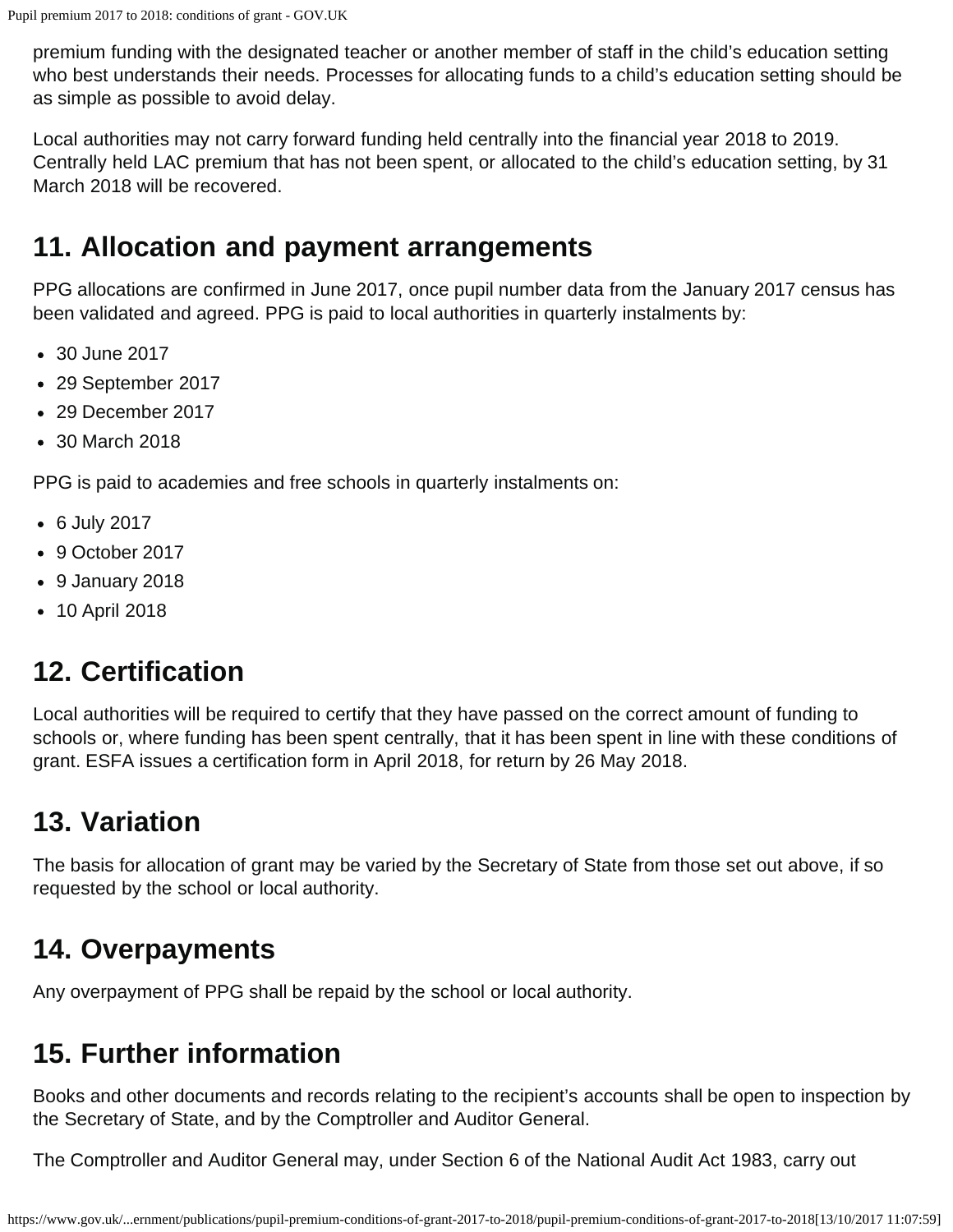premium funding with the designated teacher or another member of staff in the child's education setting who best understands their needs. Processes for allocating funds to a child's education setting should be as simple as possible to avoid delay.

Local authorities may not carry forward funding held centrally into the financial year 2018 to 2019. Centrally held LAC premium that has not been spent, or allocated to the child's education setting, by 31 March 2018 will be recovered.

### <span id="page-5-0"></span>**11. Allocation and payment arrangements**

PPG allocations are confirmed in June 2017, once pupil number data from the January 2017 census has been validated and agreed. PPG is paid to local authorities in quarterly instalments by:

- 30 June 2017
- 29 September 2017
- 29 December 2017
- 30 March 2018

PPG is paid to academies and free schools in quarterly instalments on:

- 6 July 2017
- 9 October 2017
- 9 January 2018
- 10 April 2018

# <span id="page-5-1"></span>**12. Certification**

Local authorities will be required to certify that they have passed on the correct amount of funding to schools or, where funding has been spent centrally, that it has been spent in line with these conditions of grant. ESFA issues a certification form in April 2018, for return by 26 May 2018.

# <span id="page-5-2"></span>**13. Variation**

The basis for allocation of grant may be varied by the Secretary of State from those set out above, if so requested by the school or local authority.

### <span id="page-5-3"></span>**14. Overpayments**

Any overpayment of PPG shall be repaid by the school or local authority.

# <span id="page-5-4"></span>**15. Further information**

Books and other documents and records relating to the recipient's accounts shall be open to inspection by the Secretary of State, and by the Comptroller and Auditor General.

The Comptroller and Auditor General may, under Section 6 of the National Audit Act 1983, carry out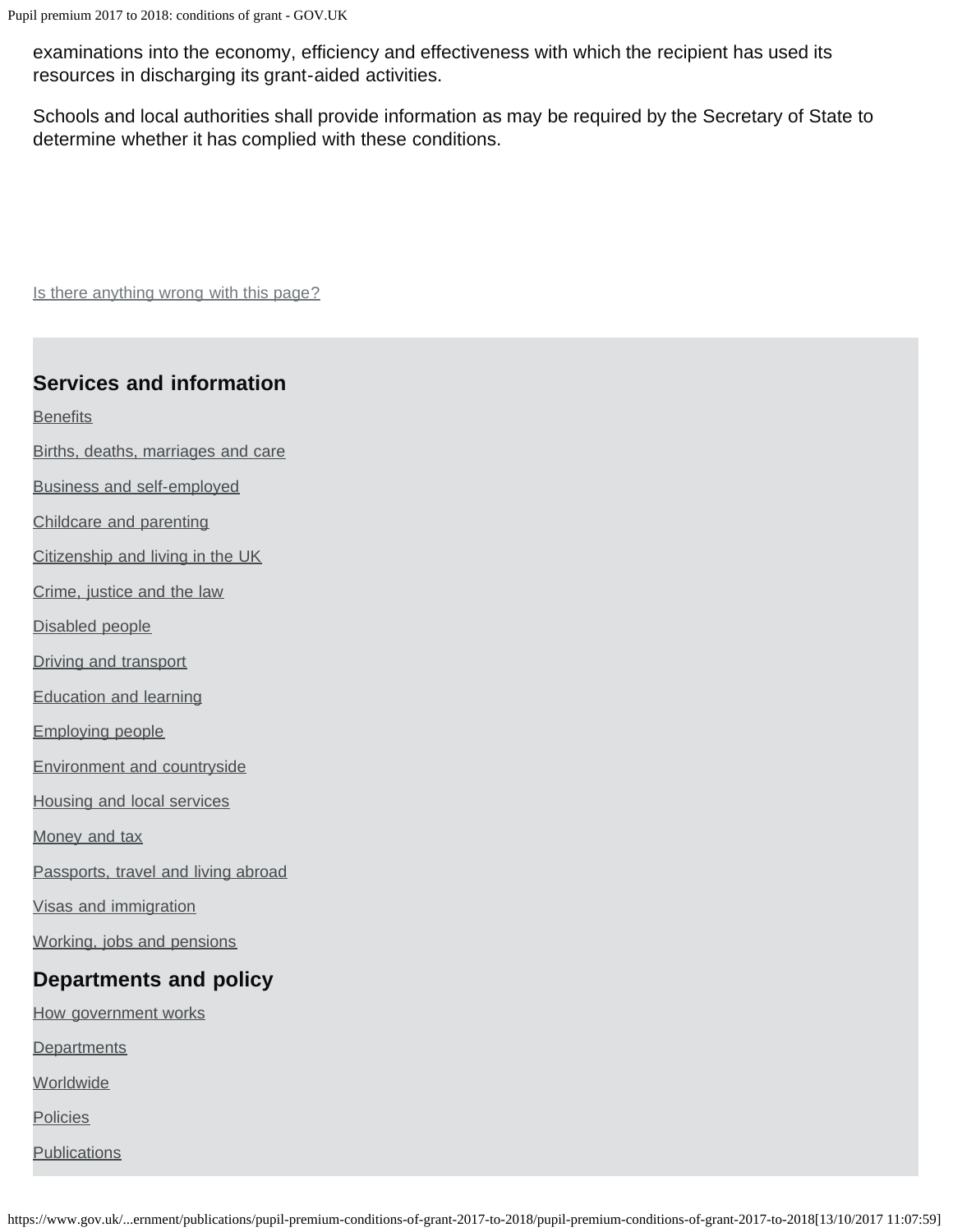Pupil premium 2017 to 2018: conditions of grant - GOV.UK

examinations into the economy, efficiency and effectiveness with which the recipient has used its resources in discharging its grant-aided activities.

Schools and local authorities shall provide information as may be required by the Secretary of State to determine whether it has complied with these conditions.

Is there anything wrong with this page?

#### **Services and information**

**[Benefits](https://www.gov.uk/browse/benefits)** 

- [Births, deaths, marriages and care](https://www.gov.uk/browse/births-deaths-marriages)
- [Business and self-employed](https://www.gov.uk/browse/business)
- [Childcare and parenting](https://www.gov.uk/browse/childcare-parenting)
- [Citizenship and living in the UK](https://www.gov.uk/browse/citizenship)
- [Crime, justice and the law](https://www.gov.uk/browse/justice)
- [Disabled people](https://www.gov.uk/browse/disabilities)
- [Driving and transport](https://www.gov.uk/browse/driving)
- [Education and learning](https://www.gov.uk/browse/education)
- [Employing people](https://www.gov.uk/browse/employing-people)
- [Environment and countryside](https://www.gov.uk/browse/environment-countryside)
- [Housing and local services](https://www.gov.uk/browse/housing-local-services)
- [Money and tax](https://www.gov.uk/browse/tax)
- [Passports, travel and living abroad](https://www.gov.uk/browse/abroad)
- [Visas and immigration](https://www.gov.uk/browse/visas-immigration)
- [Working, jobs and pensions](https://www.gov.uk/browse/working)

#### **Departments and policy**

- [How government works](https://www.gov.uk/government/how-government-works)
- **[Departments](https://www.gov.uk/government/organisations)**
- **[Worldwide](https://www.gov.uk/government/world)**
- **[Policies](https://www.gov.uk/government/policies)**
- **[Publications](https://www.gov.uk/government/publications)**